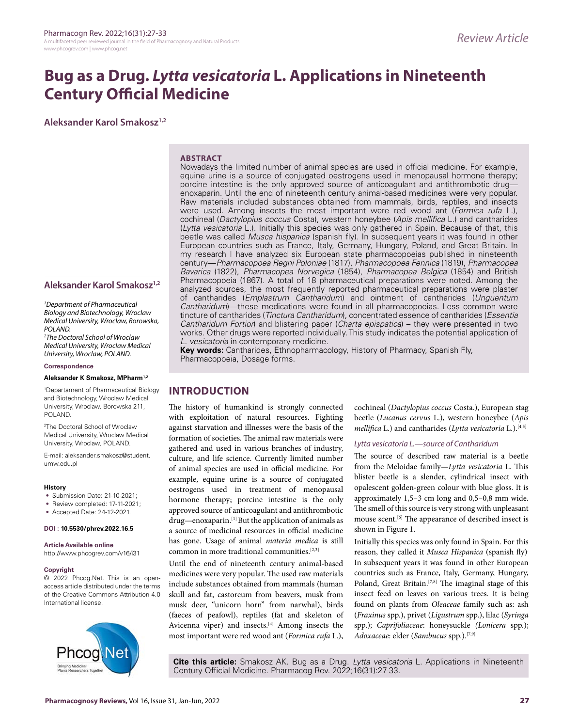# **Bug as a Drug.** *Lytta vesicatoria* **L. Applications in Nineteenth Century Official Medicine**

**Aleksander Karol Smakosz1,2**

#### **ABSTRACT**

Nowadays the limited number of animal species are used in official medicine. For example, equine urine is a source of conjugated oestrogens used in menopausal hormone therapy; porcine intestine is the only approved source of anticoagulant and antithrombotic drug enoxaparin. Until the end of nineteenth century animal-based medicines were very popular. Raw materials included substances obtained from mammals, birds, reptiles, and insects were used. Among insects the most important were red wood ant (*Formica rufa* L.), cochineal (*Dactylopius coccus* Costa), western honeybee (*Apis mellifica* L.) and cantharides (*Lytta vesicatoria* L.). Initially this species was only gathered in Spain. Because of that, this beetle was called *Musca hispanica* (spanish fly). In subsequent years it was found in other European countries such as France, Italy, Germany, Hungary, Poland, and Great Britain. In my research I have analyzed six European state pharmacopoeias published in nineteenth century—*Pharmacopoea Regni Poloniae* (1817), *Pharmacopoea Fennica* (1819), *Pharmacopea Bavarica* (1822), *Pharmacopea Norvegica* (1854), *Pharmacopea Belgica* (1854) and British Pharmacopoeia (1867). A total of 18 pharmaceutical preparations were noted. Among the analyzed sources, the most frequently reported pharmaceutical preparations were plaster of cantharides (*Emplastrum Cantharidum*) and ointment of cantharides (*Unguentum Cantharidum*)—these medications were found in all pharmacopoeias. Less common were tincture of cantharides (*Tinctura Cantharidum*), concentrated essence of cantharides (*Essentia Cantharidum Fortior*) and blistering paper (*Charta epispatica*) – they were presented in two works. Other drugs were reported individually. This study indicates the potential application of *L. vesicatoria* in contemporary medicine.

**Key words:** Cantharides, Ethnopharmacology, History of Pharmacy, Spanish Fly, Pharmacopoeia, Dosage forms.

# **INTRODUCTION**

The history of humankind is strongly connected with exploitation of natural resources. Fighting against starvation and illnesses were the basis of the formation of societies. The animal raw materials were gathered and used in various branches of industry, culture, and life science. Currently limited number of animal species are used in official medicine. For example, equine urine is a source of conjugated oestrogens used in treatment of menopausal hormone therapy; porcine intestine is the only approved source of anticoagulant and antithrombotic drug—enoxaparin.[1] But the application of animals as a source of medicinal resources in official medicine has gone. Usage of animal *materia medica* is still common in more traditional communities.[2,3]

Until the end of nineteenth century animal-based medicines were very popular. The used raw materials include substances obtained from mammals (human skull and fat, castoreum from beavers, musk from musk deer, "unicorn horn" from narwhal), birds (faeces of peafowl), reptiles (fat and skeleton of Avicenna viper) and insects.<sup>[4]</sup> Among insects the most important were red wood ant (*Formica rufa* L.), cochineal (*Dactylopius coccus* Costa.), European stag beetle (*Lucanus cervus* L.), western honeybee (*Apis mellifica* L.) and cantharides (*Lytta vesicatoria* L.).[4,5]

### *Lytta vesicatoria L.—source of Cantharidum*

The source of described raw material is a beetle from the Meloidae family—*Lytta vesicatoria* L. This blister beetle is a slender, cylindrical insect with opalescent golden-green colour with blue gloss. It is approximately 1,5–3 cm long and 0,5–0,8 mm wide. The smell of this source is very strong with unpleasant mouse scent.<sup>[6]</sup> The appearance of described insect is shown in Figure 1.

Initially this species was only found in Spain. For this reason, they called it *Musca Hispanica* (spanish fly). In subsequent years it was found in other European countries such as France, Italy, Germany, Hungary, Poland, Great Britain.<sup>[7,8]</sup> The imaginal stage of this insect feed on leaves on various trees. It is being found on plants from *Oleaceae* family such as: ash (*Fraxinus* spp.), privet (*Ligustrum* spp.), lilac (*Syringa*  spp.); *Caprifoliaceae*: honeysuckle *(Lonicera* spp.); *Adoxaceae*: elder (*Sambucus* spp.).[7,9]

**Cite this article:** Smakosz AK. Bug as a Drug. *Lytta vesicatoria* L. Applications in Nineteenth Century Official Medicine. Pharmacog Rev. 2022;16(31):27-33.

## **Aleksander Karol Smakosz1,2**

*1 Department of Pharmaceutical Biology and Biotechnology, Wroclaw Medical University, Wroclaw, Borowska, POLAND.*

*2 The Doctoral School of Wroclaw Medical University, Wroclaw Medical University, Wroclaw, POLAND.*

**Correspondence**

#### **Aleksander K Smakosz, MPharm1,2**

1 Departament of Pharmaceutical Biology and Biotechnology, Wroclaw Medical University, Wroclaw, Borowska 211, POLAND.

2 The Doctoral School of Wroclaw Medical University, Wroclaw Medical University, Wroclaw, POLAND.

E-mail: aleksander.smakosz@student. umw.edu.pl

#### **History**

- Submission Date: 21-10-2021;
- Review completed: 17-11-2021;
- Accepted Date: 24-12-2021.

#### **DOI : 10.5530/phrev.2022.16.5**

**Article Available online**  http://www.phcogrev.com/v16/i31

#### **Copyright**

© 2022 Phcog.Net. This is an openaccess article distributed under the terms of the Creative Commons Attribution 4.0 International license.

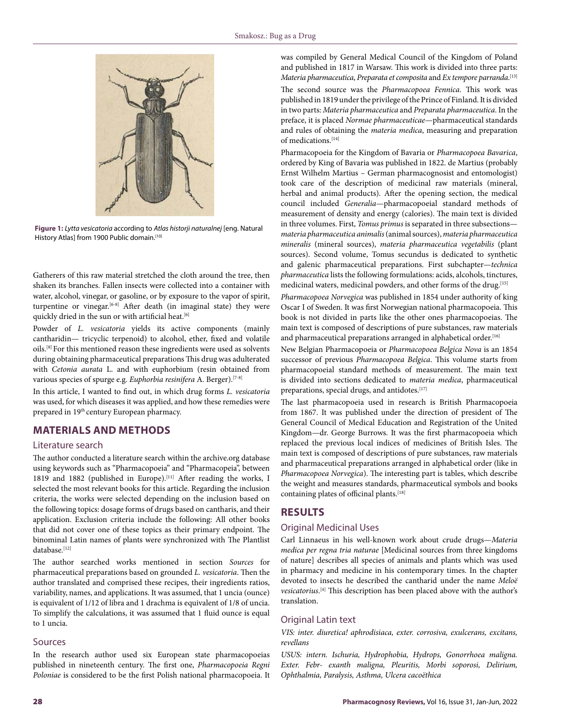

**Figure 1:** *Lytta vesicatoria* according to *Atlas historji naturalnej* [eng. Natural History Atlas] from 1900 Public domain.[10]

Gatherers of this raw material stretched the cloth around the tree, then shaken its branches. Fallen insects were collected into a container with water, alcohol, vinegar, or gasoline, or by exposure to the vapor of spirit, turpentine or vinegar.<sup>[6-8]</sup> After death (in imaginal state) they were quickly dried in the sun or with artificial heat.<sup>[6]</sup>

Powder of *L. vesicatoria* yields its active components (mainly cantharidin— tricyclic terpenoid) to alcohol, ether, fixed and volatile oils.[8] For this mentioned reason these ingredients were used as solvents during obtaining pharmaceutical preparations This drug was adulterated with *Cetonia aurata* L. and with euphorbium (resin obtained from various species of spurge e.g. *Euphorbia resinifera* A. Berger).[7-8]

In this article, I wanted to find out, in which drug forms *L. vesicatoria*  was used, for which diseases it was applied, and how these remedies were prepared in 19<sup>th</sup> century European pharmacy.

# **MATERIALS AND METHODS**

#### Literature search

The author conducted a literature search within the archive.org database using keywords such as "Pharmacopoeia" and "Pharmacopeia", between 1819 and 1882 (published in Europe).<sup>[11]</sup> After reading the works, I selected the most relevant books for this article. Regarding the inclusion criteria, the works were selected depending on the inclusion based on the following topics: dosage forms of drugs based on cantharis, and their application. Exclusion criteria include the following: All other books that did not cover one of these topics as their primary endpoint. The binominal Latin names of plants were synchronized with The Plantlist database.[12]

The author searched works mentioned in section *Sources* for pharmaceutical preparations based on grounded *L. vesicatoria*. Then the author translated and comprised these recipes, their ingredients ratios, variability, names, and applications. It was assumed, that 1 uncia (ounce) is equivalent of 1/12 of libra and 1 drachma is equivalent of 1/8 of uncia. To simplify the calculations, it was assumed that 1 fluid ounce is equal to 1 uncia.

#### Sources

In the research author used six European state pharmacopoeias published in nineteenth century. The first one, *Pharmacopoeia Regni Poloniae* is considered to be the first Polish national pharmacopoeia. It was compiled by General Medical Council of the Kingdom of Poland and published in 1817 in Warsaw. This work is divided into three parts: *Materia pharmaceutica*, *Preparata et composita* and *Ex tempore parranda*. [13] The second source was the *Pharmacopoea Fennica*. This work was published in 1819 under the privilege of the Prince of Finland. It is divided in two parts: *Materia pharmaceutica* and *Preparata pharmaceutica*. In the preface, it is placed *Normae pharmaceuticae*—pharmaceutical standards and rules of obtaining the *materia medica*, measuring and preparation of medications.[14]

Pharmacopoeia for the Kingdom of Bavaria or *Pharmacopoea Bavarica*, ordered by King of Bavaria was published in 1822. de Martius (probably Ernst Wilhelm Martius – German pharmacognosist and entomologist) took care of the description of medicinal raw materials (mineral, herbal and animal products). After the opening section, the medical council included *Generalia*—pharmacopoeial standard methods of measurement of density and energy (calories). The main text is divided in three volumes. First, *Tomus primus* is separated in three subsections *materia pharmaceutica animalis* (animal sources), *materia pharmaceutica mineralis* (mineral sources), *materia pharmaceutica vegetabilis* (plant sources). Second volume, Tomus secundus is dedicated to synthetic and galenic pharmaceutical preparations. First subchapter—*technica pharmaceutica* lists the following formulations: acids, alcohols, tinctures, medicinal waters, medicinal powders, and other forms of the drug.[15]

*Pharmacopoea Norvegica* was published in 1854 under authority of king Oscar I of Sweden. It was first Norwegian national pharmacopoeia. This book is not divided in parts like the other ones pharmacopoeias. The main text is composed of descriptions of pure substances, raw materials and pharmaceutical preparations arranged in alphabetical order.<sup>[16]</sup>

New Belgian Pharmacopoeia or *Pharmacopoea Belgica Nova* is an 1854 successor of previous *Pharmacopoea Belgica*. This volume starts from pharmacopoeial standard methods of measurement. The main text is divided into sections dedicated to *materia medica*, pharmaceutical preparations, special drugs, and antidotes.<sup>[17]</sup>

The last pharmacopoeia used in research is British Pharmacopoeia from 1867. It was published under the direction of president of The General Council of Medical Education and Registration of the United Kingdom—dr. George Burrows. It was the first pharmacopoeia which replaced the previous local indices of medicines of British Isles. The main text is composed of descriptions of pure substances, raw materials and pharmaceutical preparations arranged in alphabetical order (like in *Pharmacopoea Norvegica*). The interesting part is tables, which describe the weight and measures standards, pharmaceutical symbols and books containing plates of officinal plants.<sup>[18]</sup>

# **RESULTS**

# Original Medicinal Uses

Carl Linnaeus in his well-known work about crude drugs—*Materia medica per regna tria naturae* [Medicinal sources from three kingdoms of nature] describes all species of animals and plants which was used in pharmacy and medicine in his contemporary times. In the chapter devoted to insects he described the cantharid under the name *Meloë vesicatorius*. [4] This description has been placed above with the author's translation.

## Original Latin text

*VIS: inter. diuretica! aphrodisiaca, exter. corrosiva, exulcerans, excitans, revellans*

*USUS: intern. Ischuria, Hydrophobia, Hydrops, Gonorrhoea maligna. Exter. Febr- exanth maligna, Pleuritis, Morbi soporosi, Delirium, Ophthalmia, Paralysis, Asthma, Ulcera cacoëthica*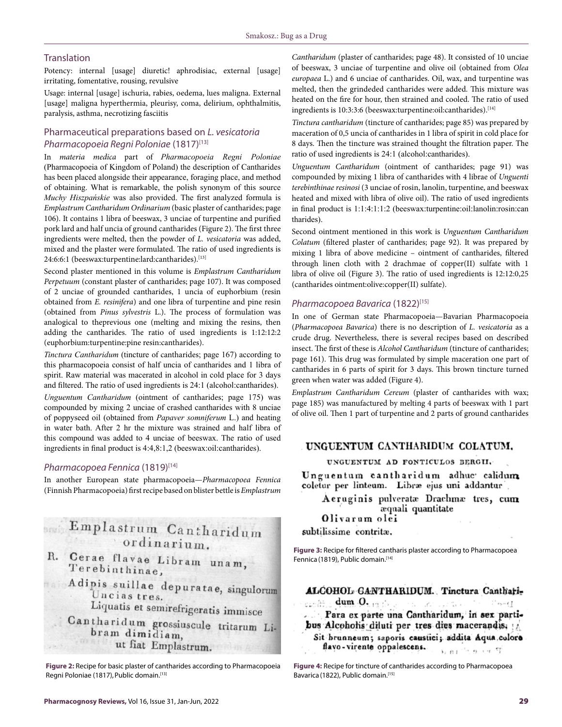## **Translation**

Potency: internal [usage] diuretic! aphrodisiac, external [usage] irritating, fomentative, rousing, revulsive

Usage: internal [usage] ischuria, rabies, oedema, lues maligna. External [usage] maligna hyperthermia, pleurisy, coma, delirium, ophthalmitis, paralysis, asthma, necrotizing fasciitis

# Pharmaceutical preparations based on *L. vesicatoria Pharmacopoeia Regni Poloniae* (1817)[13]

In *materia medica* part of *Pharmacopoeia Regni Poloniae*  (Pharmacopoeia of Kingdom of Poland) the description of Cantharides has been placed alongside their appearance, foraging place, and method of obtaining. What is remarkable, the polish synonym of this source *Muchy Hiszpańskie* was also provided. The first analyzed formula is *Emplastrum Cantharidum Ordinarium* (basic plaster of cantharides; page 106). It contains 1 libra of beeswax, 3 unciae of turpentine and purified pork lard and half uncia of ground cantharides (Figure 2). The first three ingredients were melted, then the powder of *L. vesicatoria* was added, mixed and the plaster were formulated. The ratio of used ingredients is 24:6:6:1 (beeswax:turpentine:lard:cantharides).<sup>[13]</sup>

Second plaster mentioned in this volume is *Emplastrum Cantharidum Perpetuum* (constant plaster of cantharides; page 107). It was composed of 2 unciae of grounded cantharides, 1 uncia of euphorbium (resin obtained from *E. resinifera*) and one libra of turpentine and pine resin (obtained from *Pinus sylvestris* L.). The process of formulation was analogical to theprevious one (melting and mixing the resins, then adding the cantharides. The ratio of used ingredients is 1:12:12:2 (euphorbium:turpentine:pine resin:cantharides).

*Tinctura Cantharidum* (tincture of cantharides; page 167) according to this pharmacopoeia consist of half uncia of cantharides and 1 libra of spirit. Raw material was macerated in alcohol in cold place for 3 days and filtered. The ratio of used ingredients is 24:1 (alcohol:cantharides).

*Unguentum Cantharidum* (ointment of cantharides; page 175) was compounded by mixing 2 unciae of crashed cantharides with 8 unciae of poppyseed oil (obtained from *Papaver somniferum* L.) and heating in water bath. After 2 hr the mixture was strained and half libra of this compound was added to 4 unciae of beeswax. The ratio of used ingredients in final product is 4:4,8:1,2 (beeswax:oil:cantharides).

#### *Pharmacopoea Fennica* (1819)[14]

In another European state pharmacopoeia—*Pharmacopoea Fennica*  (Finnish Pharmacopoeia) first recipe based on blister bettle is *Emplastrum* 

# Emplastrum Cantharidum ordinarium.

- R. Cerae flavae Libram unam, Terebinthinae,
	- Adipis suillae depuratae, singulorum Un cias tres.<br>Liquatis et semirefrigeratis immisce
		-
	- Cantharidum grossiuscule tritarum Libram dimidiam, ut fiat Emplastrum.

**Figure 2:** Recipe for basic plaster of cantharides according to Pharmacopoeia Regni Poloniae (1817), Public domain. [13]

*Cantharidum* (plaster of cantharides; page 48). It consisted of 10 unciae of beeswax, 3 unciae of turpentine and olive oil (obtained from *Olea europaea* L.) and 6 unciae of cantharides. Oil, wax, and turpentine was melted, then the grindeded cantharides were added. This mixture was heated on the fire for hour, then strained and cooled. The ratio of used ingredients is 10:3:3:6 (beeswax:turpentine:oil:cantharides).<sup>[14]</sup>

*Tinctura cantharidum* (tincture of cantharides; page 85) was prepared by maceration of 0,5 uncia of cantharides in 1 libra of spirit in cold place for 8 days. Then the tincture was strained thought the filtration paper. The ratio of used ingredients is 24:1 (alcohol:cantharides).

*Unguentum Cantharidum* (ointment of cantharides; page 91) was compounded by mixing 1 libra of cantharides with 4 librae of *Unguenti terebinthinae resinosi* (3 unciae of rosin, lanolin, turpentine, and beeswax heated and mixed with libra of olive oil). The ratio of used ingredients in final product is 1:1:4:1:1:2 (beeswax:turpentine:oil:lanolin:rosin:can tharides).

Second ointment mentioned in this work is *Unguentum Cantharidum Colatum* (filtered plaster of cantharides; page 92). It was prepared by mixing 1 libra of above medicine – ointment of cantharides, filtered through linen cloth with 2 drachmae of copper(II) sulfate with 1 libra of olive oil (Figure 3). The ratio of used ingredients is 12:12:0,25 (cantharides ointment:olive:copper(II) sulfate).

# *Pharmacopoea Bavarica* (1822)<sup>[15]</sup>

In one of German state Pharmacopoeia—Bavarian Pharmacopoeia (*Pharmacopoea Bavarica*) there is no description of *L. vesicatoria* as a crude drug. Nevertheless, there is several recipes based on described insect. The first of these is *Alcohol Cantharidum* (tincture of cantharides; page 161). This drug was formulated by simple maceration one part of cantharides in 6 parts of spirit for 3 days. This brown tincture turned green when water was added (Figure 4).

*Emplastrum Cantharidum Cereum* (plaster of cantharides with wax; page 185) was manufactured by melting 4 parts of beeswax with 1 part of olive oil. Then 1 part of turpentine and 2 parts of ground cantharides

# UNGUENTUM CANTHARIDUM COLATUM.

UNGUENTUM AD FONTICULOS BERGII.

Unguentum cantharidum adhuc calidum coletur per linteum. Libræ ejus uni addantur

Aeruginis pulveratæ Drachmæ tres, cum æquali quantitate Olivarum olei

subtilissime contritæ.

**Figure 3:** Recipe for filtered cantharis plaster according to Pharmacopoea Fennica (1819), Public domain.<sup>[14]</sup>

ALCOHOL GANTHARIDUM. Tinctura Canthariconfirm dum  $0.$ The Reservation  $\frac{1}{2}$  is not ?

Para ex parte una Cantharidum, in sex partibus Alcoholis diluti per tres dies macerandis, Sit brunneum; saporis caustici; addita Aqua culore flavo-virente oppalescens.  $3.01^{+0.00}$  0.19  $\sqrt{7}$ 

**Figure 4:** Recipe for tincture of cantharides according to Pharmacopoea Bavarica (1822), Public domain.[15]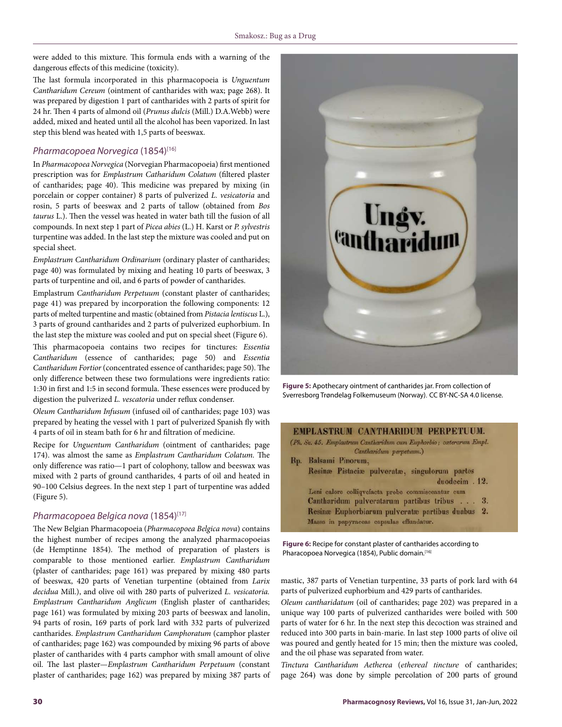were added to this mixture. This formula ends with a warning of the dangerous effects of this medicine (toxicity).

The last formula incorporated in this pharmacopoeia is *Unguentum Cantharidum Cereum* (ointment of cantharides with wax; page 268). It was prepared by digestion 1 part of cantharides with 2 parts of spirit for 24 hr. Then 4 parts of almond oil (*Prunus dulcis* (Mill.) D.A.Webb) were added, mixed and heated until all the alcohol has been vaporized. In last step this blend was heated with 1,5 parts of beeswax.

# *Pharmacopoea Norvegica* (1854)[16]

In *Pharmacopoea Norvegica* (Norvegian Pharmacopoeia) first mentioned prescription was for *Emplastrum Catharidum Colatum* (filtered plaster of cantharides; page 40). This medicine was prepared by mixing (in porcelain or copper container) 8 parts of pulverized *L. vesicatoria* and rosin, 5 parts of beeswax and 2 parts of tallow (obtained from *Bos taurus* L.). Then the vessel was heated in water bath till the fusion of all compounds. In next step 1 part of *Picea abies* (L.) H. Karst or *P. sylvestris*  turpentine was added. In the last step the mixture was cooled and put on special sheet.

*Emplastrum Cantharidum Ordinarium* (ordinary plaster of cantharides; page 40) was formulated by mixing and heating 10 parts of beeswax, 3 parts of turpentine and oil, and 6 parts of powder of cantharides.

Emplastrum *Cantharidum Perpetuum* (constant plaster of cantharides; page 41) was prepared by incorporation the following components: 12 parts of melted turpentine and mastic (obtained from *Pistacia lentiscus* L.), 3 parts of ground cantharides and 2 parts of pulverized euphorbium. In the last step the mixture was cooled and put on special sheet (Figure 6).

This pharmacopoeia contains two recipes for tinctures: *Essentia Cantharidum* (essence of cantharides; page 50) and *Essentia Cantharidum Fortior* (concentrated essence of cantharides; page 50). The only difference between these two formulations were ingredients ratio: 1:30 in first and 1:5 in second formula. These essences were produced by digestion the pulverized *L. vescatoria* under reflux condenser.

*Oleum Cantharidum Infusum* (infused oil of cantharides; page 103) was prepared by heating the vessel with 1 part of pulverized Spanish fly with 4 parts of oil in steam bath for 6 hr and filtration of medicine.

Recipe for *Unguentum Cantharidum* (ointment of cantharides; page 174). was almost the same as *Emplastrum Cantharidum Colatum.* The only difference was ratio—1 part of colophony, tallow and beeswax was mixed with 2 parts of ground cantharides, 4 parts of oil and heated in 90–100 Celsius degrees. In the next step 1 part of turpentine was added (Figure 5).

## *Pharmacopoea Belgica nova* (1854)[17]

The New Belgian Pharmacopoeia (*Pharmacopoea Belgica nova*) contains the highest number of recipes among the analyzed pharmacopoeias (de Hemptinne 1854). The method of preparation of plasters is comparable to those mentioned earlier. *Emplastrum Cantharidum*  (plaster of cantharides; page 161) was prepared by mixing 480 parts of beeswax, 420 parts of Venetian turpentine (obtained from *Larix decidua* Mill.), and olive oil with 280 parts of pulverized *L. vesicatoria. Emplastrum Cantharidum Anglicum* (English plaster of cantharides; page 161) was formulated by mixing 203 parts of beeswax and lanolin, 94 parts of rosin, 169 parts of pork lard with 332 parts of pulverized cantharides. *Emplastrum Cantharidum Camphoratum* (camphor plaster of cantharides; page 162) was compounded by mixing 96 parts of above plaster of cantharides with 4 parts camphor with small amount of olive oil. The last plaster—*Emplastrum Cantharidum Perpetuum* (constant plaster of cantharides; page 162) was prepared by mixing 387 parts of



**Figure 5:** Apothecary ointment of cantharides jar. From collection of Sverresborg Trøndelag Folkemuseum (Norway). CC BY-NC-SA 4.0 license.

#### EMPLASTRUM CANTHARIDUM PERPETUUM.

(Ph. Sv. 45. Emplastrum Cantharidum cum Euphorbio; caterarum Empl. Cantharidum perpetuum.)

Rp. Balsami Pinorum, Resinæ Pistaciæ pulveratæ, singulorum partes duodecim. 12. Leni calore colliqvefacta probe commisceantur cum Cantharidum pulveratarum partibus tribus . . . 3. Resinae Euphorbiarum pulveratae partibus duabus 2. Massa in papyraceas capsulas effundatur.

**Figure 6:** Recipe for constant plaster of cantharides according to Pharacopoea Norvegica (1854), Public domain*.* [16]

mastic, 387 parts of Venetian turpentine, 33 parts of pork lard with 64 parts of pulverized euphorbium and 429 parts of cantharides.

*Oleum cantharidatum* (oil of cantharides; page 202) was prepared in a unique way 100 parts of pulverized cantharides were boiled with 500 parts of water for 6 hr. In the next step this decoction was strained and reduced into 300 parts in bain-marie. In last step 1000 parts of olive oil was poured and gently heated for 15 min; then the mixture was cooled, and the oil phase was separated from water.

*Tinctura Cantharidum Aetherea* (*ethereal tincture* of cantharides; page 264) was done by simple percolation of 200 parts of ground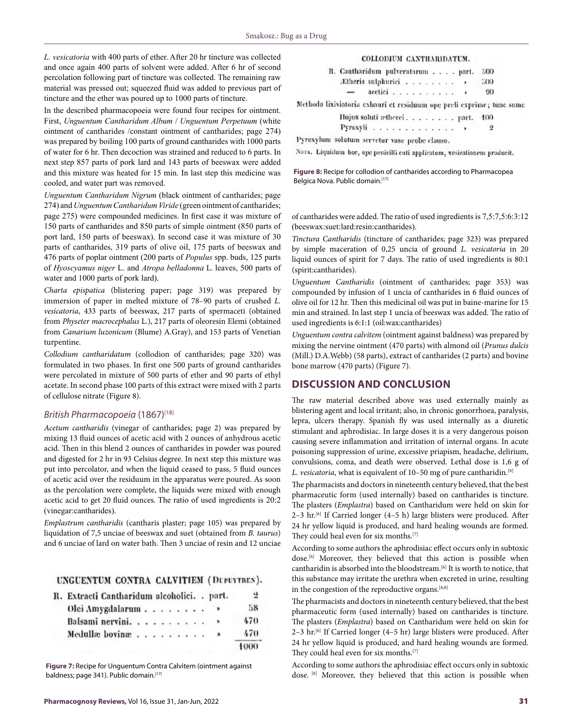*L. vesicatoria* with 400 parts of ether. After 20 hr tincture was collected and once again 400 parts of solvent were added. After 6 hr of second percolation following part of tincture was collected. The remaining raw material was pressed out; squeezed fluid was added to previous part of tincture and the ether was poured up to 1000 parts of tincture.

In the described pharmacopoeia were found four recipes for ointment. First, *Unguentum Cantharidum Album* / *Unguentum Perpetuum* (white ointment of cantharides /constant ointment of cantharides; page 274) was prepared by boiling 100 parts of ground cantharides with 1000 parts of water for 6 hr. Then decoction was strained and reduced to 6 parts. In next step 857 parts of pork lard and 143 parts of beeswax were added and this mixture was heated for 15 min. In last step this medicine was cooled, and water part was removed.

*Unguentum Cantharidum Nigrum* (black ointment of cantharides; page 274) and *Unguentum Cantharidum Viride* (green ointment of cantharides; page 275) were compounded medicines. In first case it was mixture of 150 parts of cantharides and 850 parts of simple ointment (850 parts of port lard, 150 parts of beeswax). In second case it was mixture of 30 parts of cantharides, 319 parts of olive oil, 175 parts of beeswax and 476 parts of poplar ointment (200 parts of *Populus* spp. buds, 125 parts of *Hyoscyamus niger* L. and *Atropa belladonna* L. leaves, 500 parts of water and 1000 parts of pork lard).

*Charta epispatica* (blistering paper; page 319) was prepared by immersion of paper in melted mixture of 78–90 parts of crushed *L. vesicatoria*, 433 parts of beeswax, 217 parts of spermaceti (obtained from *Physeter macrocephalus* L.), 217 parts of oleoresin Elemi (obtained from *Canarium luzonicum* (Blume) A.Gray), and 153 parts of Venetian turpentine.

*Collodium cantharidatum* (collodion of cantharides; page 320) was formulated in two phases. In first one 500 parts of ground cantharides were percolated in mixture of 500 parts of ether and 90 parts of ethyl acetate. In second phase 100 parts of this extract were mixed with 2 parts of cellulose nitrate (Figure 8).

## *British Pharmacopoeia* (1867)<sup>[18]</sup>

*Acetum cantharidis* (vinegar of cantharides; page 2) was prepared by mixing 13 fluid ounces of acetic acid with 2 ounces of anhydrous acetic acid. Then in this blend 2 ounces of cantharides in powder was poured and digested for 2 hr in 93 Celsius degree. In next step this mixture was put into percolator, and when the liquid ceased to pass, 5 fluid ounces of acetic acid over the residuum in the apparatus were poured. As soon as the percolation were complete, the liquids were mixed with enough acetic acid to get 20 fluid ounces. The ratio of used ingredients is 20:2 (vinegar:cantharides).

*Emplastrum cantharidis* (cantharis plaster; page 105) was prepared by liquidation of 7,5 unciae of beeswax and suet (obtained from *B. taurus*) and 6 unciae of lard on water bath. Then 3 unciae of resin and 12 unciae

UNGUENTUM CONTRA CALVITIEM (DUPEYTRES).

| R. Extracti Cantharidum alcoholici. . part. |  |  |  |  |  |  |  |   | 2    |
|---------------------------------------------|--|--|--|--|--|--|--|---|------|
| Olei Amygdalarum                            |  |  |  |  |  |  |  |   | 58   |
| Balsami nervini                             |  |  |  |  |  |  |  |   | 470  |
| Medullæ bovinæ                              |  |  |  |  |  |  |  | Þ | 470  |
|                                             |  |  |  |  |  |  |  |   | 1000 |

**Figure 7:** Recipe for Unguentum Contra Calvitem (ointment against baldness; page 341). Public domain*.* [17]

#### COLLODIUM CANTILARIDATUM.

| R. Cantharidum pulveratarum part. |                           |  |  |  |  |  |      | 500 |
|-----------------------------------|---------------------------|--|--|--|--|--|------|-----|
| Etheris sulphurici                |                           |  |  |  |  |  |      | 500 |
| $\overline{\phantom{a}}$          | $\alpha$ acctici $\ldots$ |  |  |  |  |  | $\,$ | 90  |

Methodo lixiviatoria exhauri et residuum ope preli exprime; tunc sume

Hujus soluti atherei. . . . . . . . part. 100

Pyroxyli . . . . . . . . . . . . .

9

Pyroxylum solutum servetur vase probe clauso.

Nors. Liquidum hoe, ope penicilli cuti applicatum, vesicationem producit.

**Figure 8:** Recipe for collodion of cantharides according to Pharmacopea Belgica Nova. Public domain.<sup>[17]</sup>

of cantharides were added. The ratio of used ingredients is 7,5:7,5:6:3:12 (beeswax:suet:lard:resin:cantharides).

*Tinctura Cantharidis* (tincture of cantharides; page 323) was prepared by simple maceration of 0,25 uncia of ground *L. vesicatoria* in 20 liquid ounces of spirit for 7 days. The ratio of used ingredients is 80:1 (spirit:cantharides).

*Unguentum Cantharidis* (ointment of cantharides; page 353) was compounded by infusion of 1 uncia of cantharides in 6 fluid ounces of olive oil for 12 hr. Then this medicinal oil was put in baine-marine for 15 min and strained. In last step 1 uncia of beeswax was added. The ratio of used ingredients is 6:1:1 (oil:wax:cantharides)

*Unguentum contra calvitem* (ointment against baldness) was prepared by mixing the nervine ointment (470 parts) with almond oil (*Prunus dulcis*  (Mill.) D.A.Webb) (58 parts), extract of cantharides (2 parts) and bovine bone marrow (470 parts) (Figure 7).

# **DISCUSSION AND CONCLUSION**

The raw material described above was used externally mainly as blistering agent and local irritant; also, in chronic gonorrhoea, paralysis, lepra, ulcers therapy. Spanish fly was used internally as a diuretic stimulant and aphrodisiac. In large doses it is a very dangerous poison causing severe inflammation and irritation of internal organs. In acute poisoning suppression of urine, excessive priapism, headache, delirium, convulsions, coma, and death were observed. Lethal dose is 1,6 g of *L. vesicatoria*, what is equivalent of 10–50 mg of pure cantharidin.[8]

The pharmacists and doctors in nineteenth century believed, that the best pharmaceutic form (used internally) based on cantharides is tincture. The plasters (*Emplastra*) based on Cantharidum were held on skin for 2-3 hr.<sup>[6]</sup> If Carried longer (4-5 h) large blisters were produced. After 24 hr yellow liquid is produced, and hard healing wounds are formed. They could heal even for six months.[7]

According to some authors the aphrodisiac effect occurs only in subtoxic dose.[6] Moreover, they believed that this action is possible when cantharidin is absorbed into the bloodstream.<sup>[6]</sup> It is worth to notice, that this substance may irritate the urethra when excreted in urine, resulting in the congestion of the reproductive organs.<sup>[6,8]</sup>

The pharmacists and doctors in nineteenth century believed, that the best pharmaceutic form (used internally) based on cantharides is tincture. The plasters (*Emplastra*) based on Cantharidum were held on skin for  $2-3$  hr.<sup>[6]</sup> If Carried longer (4–5 hr) large blisters were produced. After 24 hr yellow liquid is produced, and hard healing wounds are formed. They could heal even for six months.[7]

According to some authors the aphrodisiac effect occurs only in subtoxic dose. [6] Moreover, they believed that this action is possible when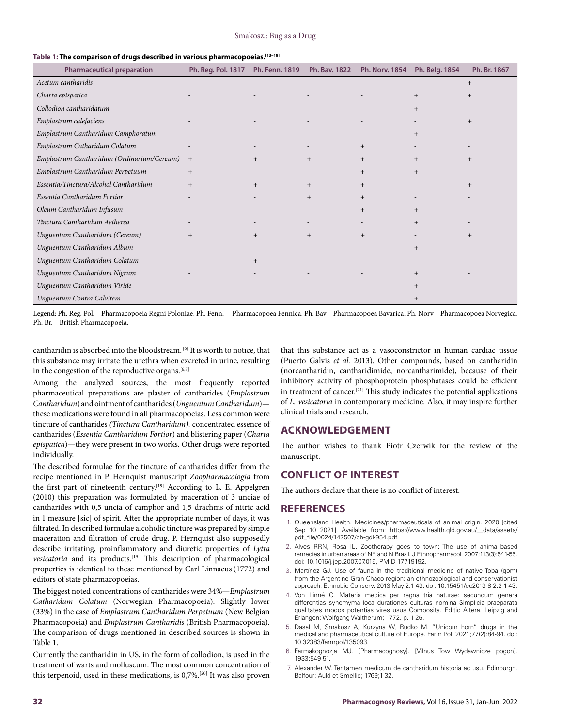| able 1. The comparison of urugs described in various pharmacopoelas.<br><b>Pharmaceutical preparation</b> | Ph. Reg. Pol. 1817 | Ph. Fenn. 1819 | Ph. Bav. 1822 | <b>Ph. Norv. 1854</b> | Ph. Belg. 1854 | Ph. Br. 1867 |
|-----------------------------------------------------------------------------------------------------------|--------------------|----------------|---------------|-----------------------|----------------|--------------|
| Acetum cantharidis                                                                                        |                    |                |               |                       |                | $+$          |
| Charta epispatica                                                                                         |                    |                |               |                       | $+$            | $^{+}$       |
| Collodion cantharidatum                                                                                   |                    |                |               |                       | $+$            |              |
| Emplastrum calefaciens                                                                                    |                    |                |               |                       |                | $+$          |
| Emplastrum Cantharidum Camphoratum                                                                        |                    |                |               |                       | $+$            |              |
| Emplastrum Catharidum Colatum                                                                             |                    |                |               | $+$                   |                |              |
| Emplastrum Cantharidum (Ordinarium/Cereum)                                                                | $+$                | $^{+}$         | $+$           | $+$                   | $+$            | $+$          |
| Emplastrum Cantharidum Perpetuum                                                                          | $+$                |                |               | $+$                   | $+$            |              |
| Essentia/Tinctura/Alcohol Cantharidum                                                                     | $+$                | $^{+}$         | $+$           | $^{+}$                |                | $^{+}$       |
| Essentia Cantharidum Fortior                                                                              |                    |                | $+$           | $^{+}$                |                |              |
| Oleum Cantharidum Infusum                                                                                 |                    |                |               | $+$                   | $^{+}$         |              |
| Tinctura Cantharidum Aetherea                                                                             |                    |                |               |                       | $^{+}$         |              |
| Unguentum Cantharidum (Cereum)                                                                            | $+$                | $^{+}$         | $+$           | $+$                   |                | $+$          |
| Unguentum Cantharidum Album                                                                               |                    |                |               |                       | $+$            |              |
| Unguentum Cantharidum Colatum                                                                             |                    | $+$            |               |                       |                |              |
| Unguentum Cantharidum Nigrum                                                                              |                    |                |               |                       | $+$            |              |
| Unguentum Cantharidum Viride                                                                              |                    |                |               |                       | $+$            |              |
| Unguentum Contra Calvitem                                                                                 |                    |                |               |                       | $+$            |              |

# **Table 1: The comparison of drugs described in various pharmacopoeias.[13–18]**

Legend: Ph. Reg. Pol.—Pharmacopoeia Regni Poloniae, Ph. Fenn. —Pharmacopoea Fennica, Ph. Bav—Pharmacopoea Bavarica, Ph. Norv—Pharmacopoea Norvegica, Ph. Br.—British Pharmacopoeia.

cantharidin is absorbed into the bloodstream.  $^{[6]}$  It is worth to notice, that this substance may irritate the urethra when excreted in urine, resulting in the congestion of the reproductive organs.<sup>[6,8]</sup>

Among the analyzed sources, the most frequently reported pharmaceutical preparations are plaster of cantharides (*Emplastrum Cantharidum*) and ointment of cantharides (*Unguentum Cantharidum*) these medications were found in all pharmacopoeias*.* Less common were tincture of cantharides *(Tinctura Cantharidum),* concentrated essence of cantharides (*Essentia Cantharidum Fortior*) and blistering paper (*Charta epispatica*)—they were present in two works. Other drugs were reported individually.

The described formulae for the tincture of cantharides differ from the recipe mentioned in P. Hernquist manuscript *Zoopharmacologia* from the first part of nineteenth century.<sup>[19]</sup> According to L. E. Appelgren (2010) this preparation was formulated by maceration of 3 unciae of cantharides with 0,5 uncia of camphor and 1,5 drachms of nitric acid in 1 measure [sic] of spirit. After the appropriate number of days, it was filtrated. In described formulae alcoholic tincture was prepared by simple maceration and filtration of crude drug. P. Hernquist also supposedly describe irritating, proinflammatory and diuretic properties of *Lytta vesicatoria* and its products.[19] This description of pharmacological properties is identical to these mentioned by Carl Linnaeus(1772) and editors of state pharmacopoeias.

The biggest noted concentrations of cantharides were 34%—*Emplastrum Catharidum Colatum* (Norwegian Pharmacopoeia). Slightly lower (33%) in the case of *Emplastrum Cantharidum Perpetuum* (New Belgian Pharmacopoeia) and *Emplastrum Cantharidis* (British Pharmacopoeia). The comparison of drugs mentioned in described sources is shown in Table 1.

Currently the cantharidin in US, in the form of collodion, is used in the treatment of warts and molluscum. The most common concentration of this terpenoid, used in these medications, is 0,7%.[20] It was also proven

that this substance act as a vasoconstrictor in human cardiac tissue (Puerto Galvis *et al.* 2013). Other compounds, based on cantharidin (norcantharidin, cantharidimide, norcantharimide), because of their inhibitory activity of phosphoprotein phosphatases could be efficient in treatment of cancer.[21] This study indicates the potential applications of *L. vesicatoria* in contemporary medicine. Also, it may inspire further clinical trials and research.

# **ACKNOWLEDGEMENT**

The author wishes to thank Piotr Czerwik for the review of the manuscript.

# **CONFLICT OF INTEREST**

The authors declare that there is no conflict of interest.

## **REFERENCES**

- 1. Queensland Health. Medicines/pharmaceuticals of animal origin. 2020 [cited Sep 10 2021]. Available from: https://www.health.qld.gov.au/\_\_data/assets/ pdf\_file/0024/147507/qh-gdl-954.pdf.
- 2. Alves RRN, Rosa IL. Zootherapy goes to town: The use of animal-based remedies in urban areas of NE and N Brazil. J Ethnopharmacol. 2007;113(3):541-55. doi: 10.1016/j.jep.2007.07.015, PMID 17719192.
- 3. Martínez GJ. Use of fauna in the traditional medicine of native Toba (qom) from the Argentine Gran Chaco region: an ethnozoological and conservationist approach. Ethnobio Conserv. 2013 May 2:1-43. doi: 10.15451/ec2013-8-2.2-1-43.
- 4. Von Linné C. Materia medica per regna tria naturae: secundum genera differentias synomyma loca durationes culturas nomina Simplicia praeparata qualitates modos potentias vires usus Composita. Editio Altera. Leipzig and Erlangen: Wolfgang Waltherum; 1772. p. 1-26.
- 5. Dasal M, Smakosz A, Kurzyna W, Rudko M. "Unicorn horn" drugs in the medical and pharmaceutical culture of Europe. Farm Pol. 2021;77(2):84-94. doi: 10.32383/farmpol/135093.
- 6. Farmakognozja MJ. [Pharmacognosy]. [Vilnus Tow Wydawnicze pogon]. 1933:549-51.
- 7. Alexander W. Tentamen medicum de cantharidum historia ac usu. Edinburgh. Balfour: Auld et Smellie; 1769;1-32.